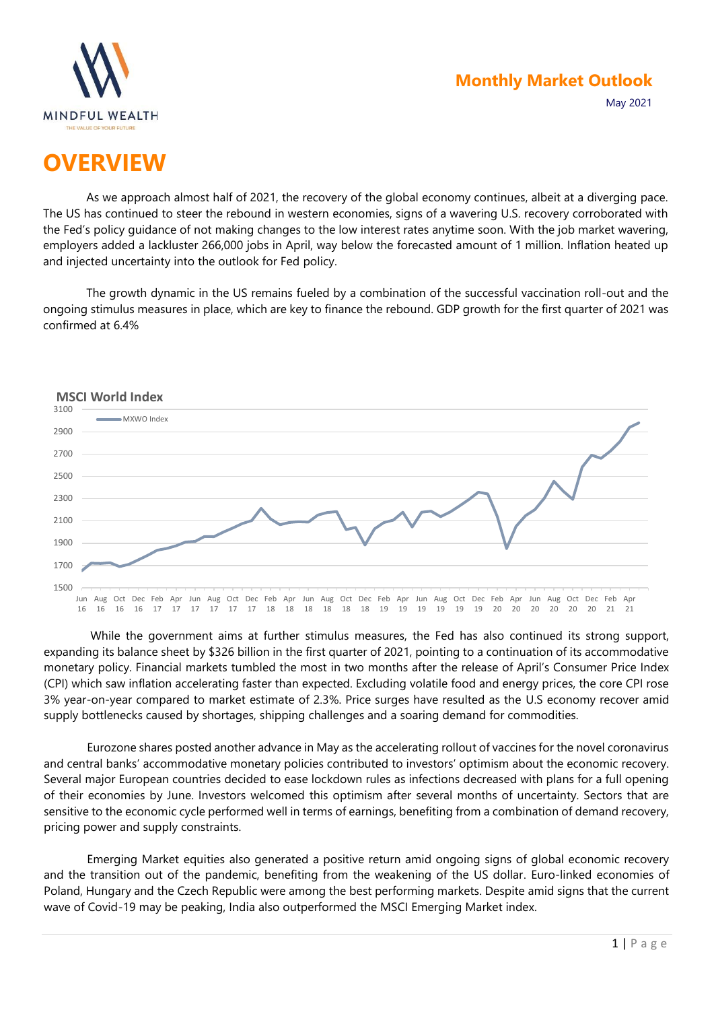

# **OVERVIEW**

As we approach almost half of 2021, the recovery of the global economy continues, albeit at a diverging pace. The US has continued to steer the rebound in western economies, signs of a wavering U.S. recovery corroborated with the Fed's policy guidance of not making changes to the low interest rates anytime soon. With the job market wavering, employers added a lackluster 266,000 jobs in April, way below the forecasted amount of 1 million. Inflation heated up and injected uncertainty into the outlook for Fed policy.

The growth dynamic in the US remains fueled by a combination of the successful vaccination roll-out and the ongoing stimulus measures in place, which are key to finance the rebound. GDP growth for the first quarter of 2021 was confirmed at 6.4%



While the government aims at further stimulus measures, the Fed has also continued its strong support, expanding its balance sheet by \$326 billion in the first quarter of 2021, pointing to a continuation of its accommodative monetary policy. Financial markets tumbled the most in two months after the release of April's Consumer Price Index (CPI) which saw inflation accelerating faster than expected. Excluding volatile food and energy prices, the core CPI rose 3% year-on-year compared to market estimate of 2.3%. Price surges have resulted as the U.S economy recover amid supply bottlenecks caused by shortages, shipping challenges and a soaring demand for commodities.

Eurozone shares posted another advance in May as the accelerating rollout of vaccines for the novel coronavirus and central banks' accommodative monetary policies contributed to investors' optimism about the economic recovery. Several major European countries decided to ease lockdown rules as infections decreased with plans for a full opening of their economies by June. Investors welcomed this optimism after several months of uncertainty. Sectors that are sensitive to the economic cycle performed well in terms of earnings, benefiting from a combination of demand recovery, pricing power and supply constraints.

Emerging Market equities also generated a positive return amid ongoing signs of global economic recovery and the transition out of the pandemic, benefiting from the weakening of the US dollar. Euro-linked economies of Poland, Hungary and the Czech Republic were among the best performing markets. Despite amid signs that the current wave of Covid-19 may be peaking, India also outperformed the MSCI Emerging Market index.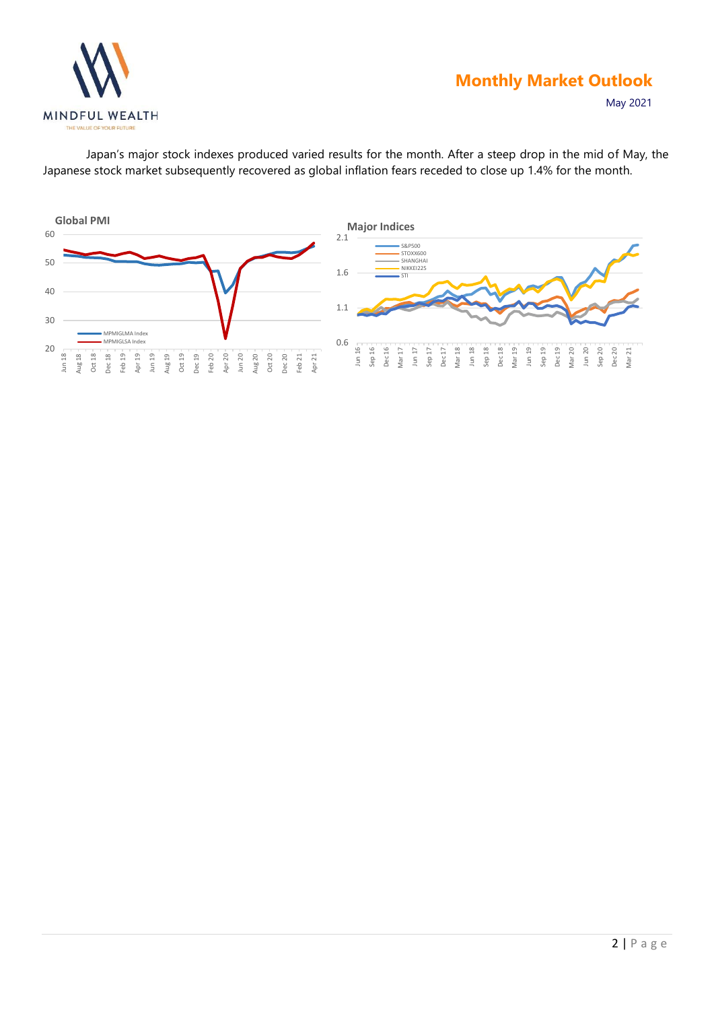

### **Monthly Market Outlook**

Mar 20 Jun 20 Sep 20 Dec 20 Mar 21

May 2021

Japan's major stock indexes produced varied results for the month. After a steep drop in the mid of May, the Japanese stock market subsequently recovered as global inflation fears receded to close up 1.4% for the month.

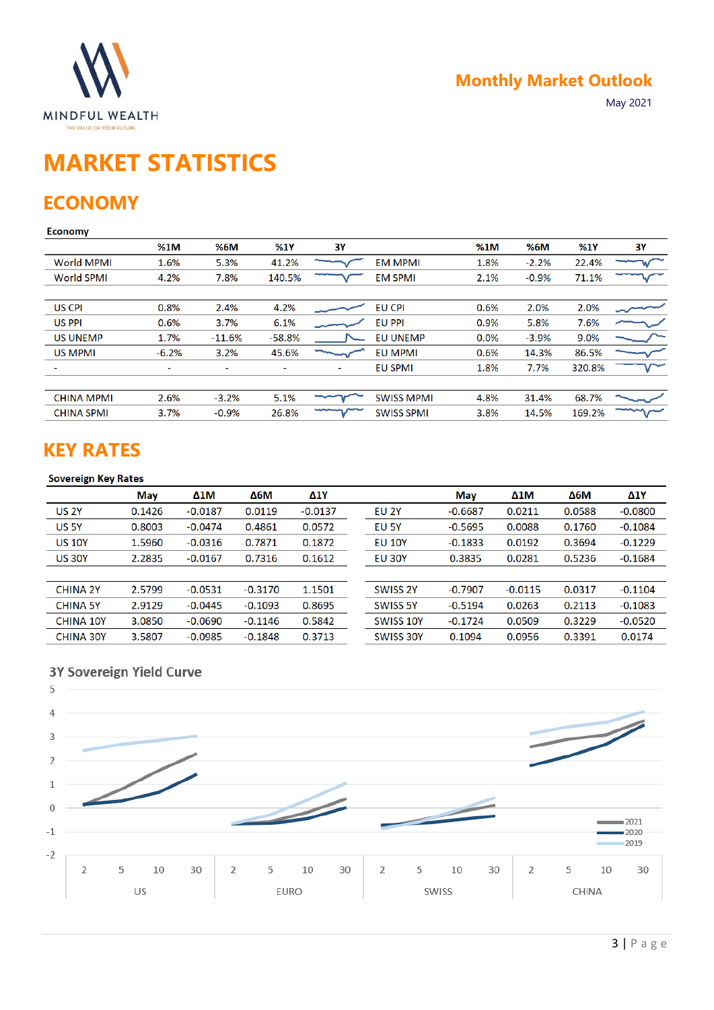

# **MARKET STATISTICS**

### **ECONOMY**

### Economy

|                   | %1M                      | %6M      | %1Y      | <b>3Y</b>      |                   | %1M  | %6M     | %1Y    | <b>3Y</b> |
|-------------------|--------------------------|----------|----------|----------------|-------------------|------|---------|--------|-----------|
| <b>World MPMI</b> | 1.6%                     | 5.3%     | 41.2%    |                | <b>EM MPMI</b>    | 1.8% | $-2.2%$ | 22.4%  |           |
| <b>World SPMI</b> | 4.2%                     | 7.8%     | 140.5%   |                | <b>EM SPMI</b>    | 2.1% | $-0.9%$ | 71.1%  |           |
|                   |                          |          |          |                |                   |      |         |        |           |
| <b>US CPI</b>     | 0.8%                     | 2.4%     | 4.2%     |                | <b>EU CPI</b>     | 0.6% | 2.0%    | 2.0%   |           |
| <b>US PPI</b>     | 0.6%                     | 3.7%     | 6.1%     |                | <b>EU PPI</b>     | 0.9% | 5.8%    | 7.6%   |           |
| <b>US UNEMP</b>   | 1.7%                     | $-11.6%$ | $-58.8%$ |                | <b>EU UNEMP</b>   | 0.0% | $-3.9%$ | 9.0%   |           |
| <b>US MPMI</b>    | $-6.2%$                  | 3.2%     | 45.6%    |                | <b>EU MPMI</b>    | 0.6% | 14.3%   | 86.5%  |           |
|                   | $\overline{\phantom{0}}$ |          |          | $\overline{a}$ | <b>EU SPMI</b>    | 1.8% | 7.7%    | 320.8% |           |
|                   |                          |          |          |                |                   |      |         |        |           |
| <b>CHINA MPMI</b> | 2.6%                     | $-3.2%$  | 5.1%     |                | <b>SWISS MPMI</b> | 4.8% | 31.4%   | 68.7%  |           |
| <b>CHINA SPMI</b> | 3.7%                     | $-0.9%$  | 26.8%    |                | <b>SWISS SPMI</b> | 3.8% | 14.5%   | 169.2% |           |

### **KEY RATES**

#### **Sovereign Key Rates**

|                  | May    | $\Delta 1$ M | $\Delta 6M$ | <b>Δ1Υ</b> |                  | May       | $\Delta 1$ M | $\Delta 6M$ | <b>Δ1Υ</b> |
|------------------|--------|--------------|-------------|------------|------------------|-----------|--------------|-------------|------------|
| <b>US 2Y</b>     | 0.1426 | $-0.0187$    | 0.0119      | $-0.0137$  | <b>EU 2Y</b>     | $-0.6687$ | 0.0211       | 0.0588      | $-0.0800$  |
| <b>US 5Y</b>     | 0.8003 | $-0.0474$    | 0.4861      | 0.0572     | EU 5Y            | $-0.5695$ | 0.0088       | 0.1760      | $-0.1084$  |
| <b>US 10Y</b>    | 1.5960 | $-0.0316$    | 0.7871      | 0.1872     | <b>EU 10Y</b>    | $-0.1833$ | 0.0192       | 0.3694      | $-0.1229$  |
| <b>US 30Y</b>    | 2.2835 | $-0.0167$    | 0.7316      | 0.1612     | <b>EU 30Y</b>    | 0.3835    | 0.0281       | 0.5236      | $-0.1684$  |
|                  |        |              |             |            |                  |           |              |             |            |
| <b>CHINA 2Y</b>  | 2.5799 | $-0.0531$    | $-0.3170$   | 1.1501     | SWISS 2Y         | $-0.7907$ | $-0.0115$    | 0.0317      | $-0.1104$  |
| <b>CHINA 5Y</b>  | 2.9129 | $-0.0445$    | $-0.1093$   | 0.8695     | SWISS 5Y         | $-0.5194$ | 0.0263       | 0.2113      | $-0.1083$  |
| <b>CHINA 10Y</b> | 3.0850 | $-0.0690$    | $-0.1146$   | 0.5842     | SWISS 10Y        | $-0.1724$ | 0.0509       | 0.3229      | $-0.0520$  |
| <b>CHINA 30Y</b> | 3.5807 | $-0.0985$    | $-0.1848$   | 0.3713     | <b>SWISS 30Y</b> | 0.1094    | 0.0956       | 0.3391      | 0.0174     |

### 3Y Sovereign Yield Curve

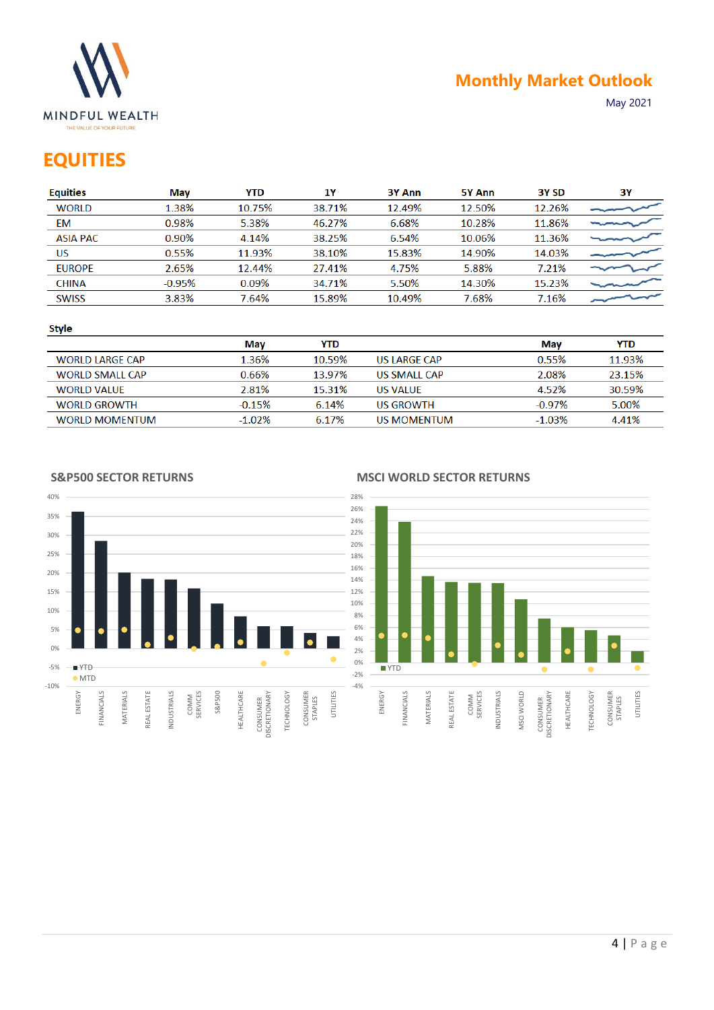

### **EQUITIES**

| <b>Equities</b> | Mav      | <b>YTD</b> | 1Y     | 3Y Ann | 5Y Ann | 3Y SD  | 3Υ |
|-----------------|----------|------------|--------|--------|--------|--------|----|
| <b>WORLD</b>    | 1.38%    | 10.75%     | 38.71% | 12.49% | 12.50% | 12.26% |    |
| EM              | 0.98%    | 5.38%      | 46.27% | 6.68%  | 10.28% | 11.86% |    |
| <b>ASIA PAC</b> | 0.90%    | 4.14%      | 38.25% | 6.54%  | 10.06% | 11.36% |    |
| US              | 0.55%    | 11.93%     | 38.10% | 15.83% | 14.90% | 14.03% |    |
| <b>EUROPE</b>   | 2.65%    | 12.44%     | 27.41% | 4.75%  | 5.88%  | 7.21%  |    |
| <b>CHINA</b>    | $-0.95%$ | 0.09%      | 34.71% | 5.50%  | 14.30% | 15.23% |    |
| <b>SWISS</b>    | 3.83%    | 7.64%      | 15.89% | 10.49% | 7.68%  | 7.16%  |    |
|                 |          |            |        |        |        |        |    |

#### **Style**

|                        | Mav       | YTD    |                    | Mav       | <b>YTD</b> |
|------------------------|-----------|--------|--------------------|-----------|------------|
| <b>WORLD LARGE CAP</b> | 1.36%     | 10.59% | US LARGE CAP       | 0.55%     | 11.93%     |
| <b>WORLD SMALL CAP</b> | 0.66%     | 13.97% | US SMALL CAP       | 2.08%     | 23.15%     |
| WORLD VALUE            | 2.81%     | 15.31% | US VALUE           | 4.52%     | 30.59%     |
| <b>WORLD GROWTH</b>    | $-0.15%$  | 6.14%  | <b>US GROWTH</b>   | $-0.97\%$ | 5.00%      |
| <b>WORLD MOMENTUM</b>  | $-1.02\%$ | 6.17%  | <b>US MOMENTUM</b> | $-1.03%$  | 4.41%      |

#### **S&P500 SECTOR RETURNS**

#### **MSCI WORLD SECTOR RETURNS**

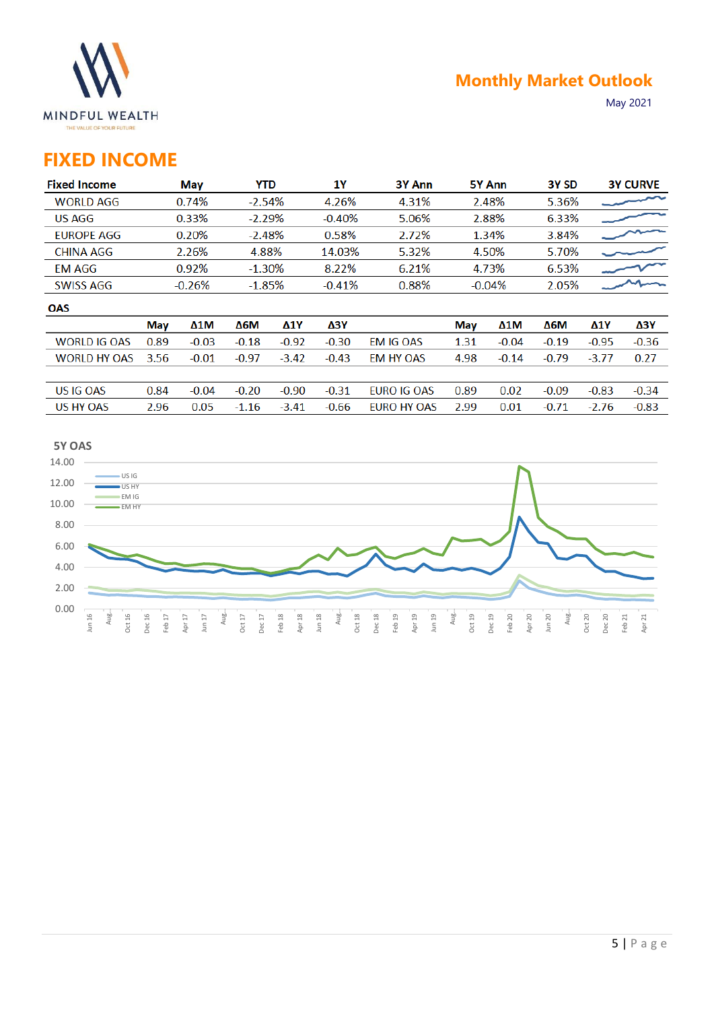

## **FIXED INCOME**

| <b>Fixed Income</b> |      | May      | YTD      |            | 1Υ       | 3Y Ann             |      | 5Y Ann   | 3Y <sub>SD</sub> |            | <b>3Y CURVE</b> |
|---------------------|------|----------|----------|------------|----------|--------------------|------|----------|------------------|------------|-----------------|
| <b>WORLD AGG</b>    |      | 0.74%    | $-2.54%$ |            | 4.26%    | 4.31%              |      | 2.48%    | 5.36%            |            |                 |
| <b>US AGG</b>       |      | 0.33%    | $-2.29%$ |            | $-0.40%$ | 5.06%              |      | 2.88%    | 6.33%            |            |                 |
| <b>EUROPE AGG</b>   |      | 0.20%    | $-2.48%$ |            | 0.58%    | 2.72%              |      | 1.34%    | 3.84%            |            |                 |
| <b>CHINA AGG</b>    |      | 2.26%    | 4.88%    |            | 14.03%   | 5.32%              |      | 4.50%    | 5.70%            |            |                 |
| <b>EM AGG</b>       |      | 0.92%    | $-1.30%$ |            | 8.22%    | 6.21%              |      | 4.73%    | 6.53%            |            |                 |
| <b>SWISS AGG</b>    |      | $-0.26%$ | $-1.85%$ |            | $-0.41%$ | 0.88%              |      | $-0.04%$ | 2.05%            |            |                 |
| <b>OAS</b>          |      |          |          |            |          |                    |      |          |                  |            |                 |
|                     | May  | Δ1M      | Δ6М      | <b>Δ1Υ</b> | ΔЗΥ      |                    | May  | Δ1M      | Δ6М              | <b>Δ1Υ</b> | ΔЗΥ             |
| <b>WORLD IG OAS</b> | 0.89 | $-0.03$  | $-0.18$  | $-0.92$    | $-0.30$  | <b>EM IG OAS</b>   | 1.31 | $-0.04$  | $-0.19$          | $-0.95$    | $-0.36$         |
| <b>WORLD HY OAS</b> | 3.56 | $-0.01$  | $-0.97$  | $-3.42$    | $-0.43$  | EM HY OAS          | 4.98 | $-0.14$  | $-0.79$          | $-3.77$    | 0.27            |
|                     |      |          |          |            |          |                    |      |          |                  |            |                 |
| US IG OAS           | 0.84 | $-0.04$  | $-0.20$  | $-0.90$    | $-0.31$  | EURO IG OAS        | 0.89 | 0.02     | $-0.09$          | $-0.83$    | $-0.34$         |
| <b>US HY OAS</b>    | 2.96 | 0.05     | $-1.16$  | $-3.41$    | $-0.66$  | <b>EURO HY OAS</b> | 2.99 | 0.01     | $-0.71$          | $-2.76$    | $-0.83$         |

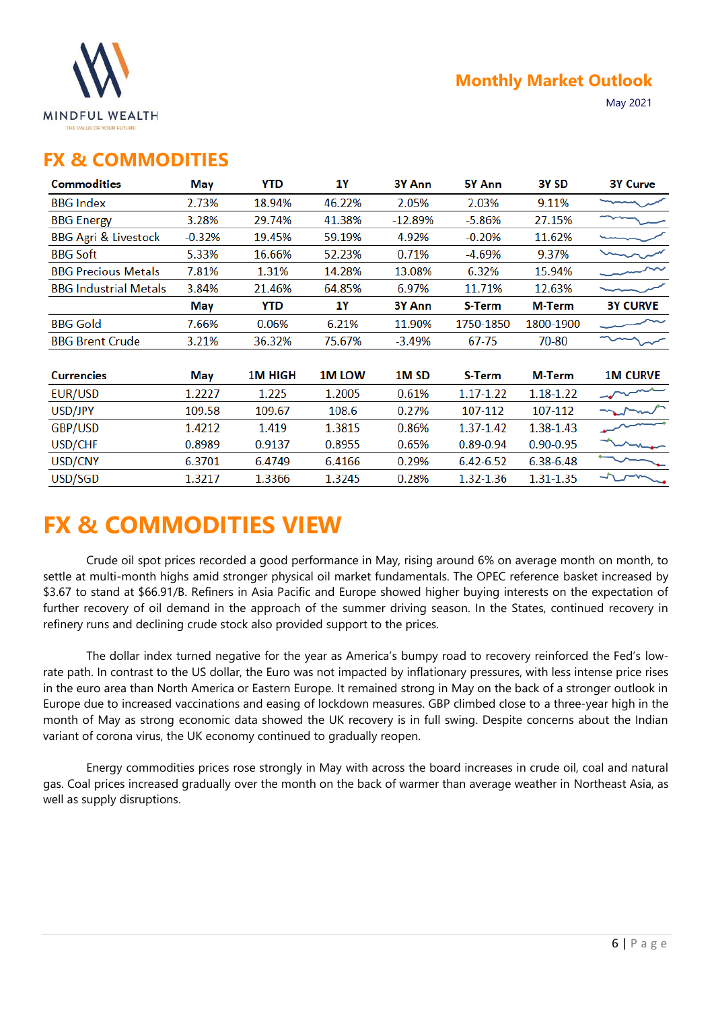

### **FX & COMMODITIES**

| <b>Commodities</b>              | May      | YTD            | 1Y           | 3Y Ann           | 5Y Ann        | 3Y SD         | <b>3Y Curve</b> |
|---------------------------------|----------|----------------|--------------|------------------|---------------|---------------|-----------------|
| <b>BBG</b> Index                | 2.73%    | 18.94%         | 46.22%       | 2.05%            | 2.03%         | 9.11%         |                 |
| <b>BBG Energy</b>               | 3.28%    | 29.74%         | 41.38%       | $-12.89%$        | $-5.86%$      | 27.15%        |                 |
| <b>BBG Agri &amp; Livestock</b> | $-0.32%$ | 19.45%         | 59.19%       | 4.92%            | $-0.20%$      | 11.62%        |                 |
| <b>BBG Soft</b>                 | 5.33%    | 16.66%         | 52.23%       | 0.71%            | $-4.69%$      | 9.37%         |                 |
| <b>BBG Precious Metals</b>      | 7.81%    | 1.31%          | 14.28%       | 13.08%           | 6.32%         | 15.94%        |                 |
| <b>BBG Industrial Metals</b>    | 3.84%    | 21.46%         | 64.85%       | 6.97%            | 11.71%        | 12.63%        |                 |
|                                 | May      | YTD            | 1Y           | 3Y Ann           | S-Term        | M-Term        | <b>3Y CURVE</b> |
| <b>BBG</b> Gold                 | 7.66%    | 0.06%          | 6.21%        | 11.90%           | 1750-1850     | 1800-1900     |                 |
| <b>BBG Brent Crude</b>          | 3.21%    | 36.32%         | 75.67%       | $-3.49%$         | 67-75         | 70-80         |                 |
|                                 |          |                |              |                  |               |               |                 |
| <b>Currencies</b>               | May      | <b>1M HIGH</b> | <b>1MLOW</b> | 1M <sub>SD</sub> | S-Term        | M-Term        | <b>1M CURVE</b> |
| EUR/USD                         | 1.2227   | 1.225          | 1.2005       | 0.61%            | 1.17-1.22     | 1.18-1.22     |                 |
| USD/JPY                         | 109.58   | 109.67         | 108.6        | 0.27%            | 107-112       | 107-112       |                 |
| GBP/USD                         | 1.4212   | 1.419          | 1.3815       | 0.86%            | 1.37-1.42     | 1.38-1.43     |                 |
| USD/CHF                         | 0.8989   | 0.9137         | 0.8955       | 0.65%            | $0.89 - 0.94$ | $0.90 - 0.95$ |                 |
| USD/CNY                         | 6.3701   | 6.4749         | 6.4166       | 0.29%            | 6.42-6.52     | 6.38-6.48     |                 |
| USD/SGD                         | 1.3217   | 1.3366         | 1.3245       | 0.28%            | 1.32-1.36     | 1.31-1.35     |                 |
|                                 |          |                |              |                  |               |               |                 |

# **FX & COMMODITIES VIEW**

Crude oil spot prices recorded a good performance in May, rising around 6% on average month on month, to settle at multi-month highs amid stronger physical oil market fundamentals. The OPEC reference basket increased by \$3.67 to stand at \$66.91/B. Refiners in Asia Pacific and Europe showed higher buying interests on the expectation of further recovery of oil demand in the approach of the summer driving season. In the States, continued recovery in refinery runs and declining crude stock also provided support to the prices.

The dollar index turned negative for the year as America's bumpy road to recovery reinforced the Fed's lowrate path. In contrast to the US dollar, the Euro was not impacted by inflationary pressures, with less intense price rises in the euro area than North America or Eastern Europe. It remained strong in May on the back of a stronger outlook in Europe due to increased vaccinations and easing of lockdown measures. GBP climbed close to a three-year high in the month of May as strong economic data showed the UK recovery is in full swing. Despite concerns about the Indian variant of corona virus, the UK economy continued to gradually reopen.

Energy commodities prices rose strongly in May with across the board increases in crude oil, coal and natural gas. Coal prices increased gradually over the month on the back of warmer than average weather in Northeast Asia, as well as supply disruptions.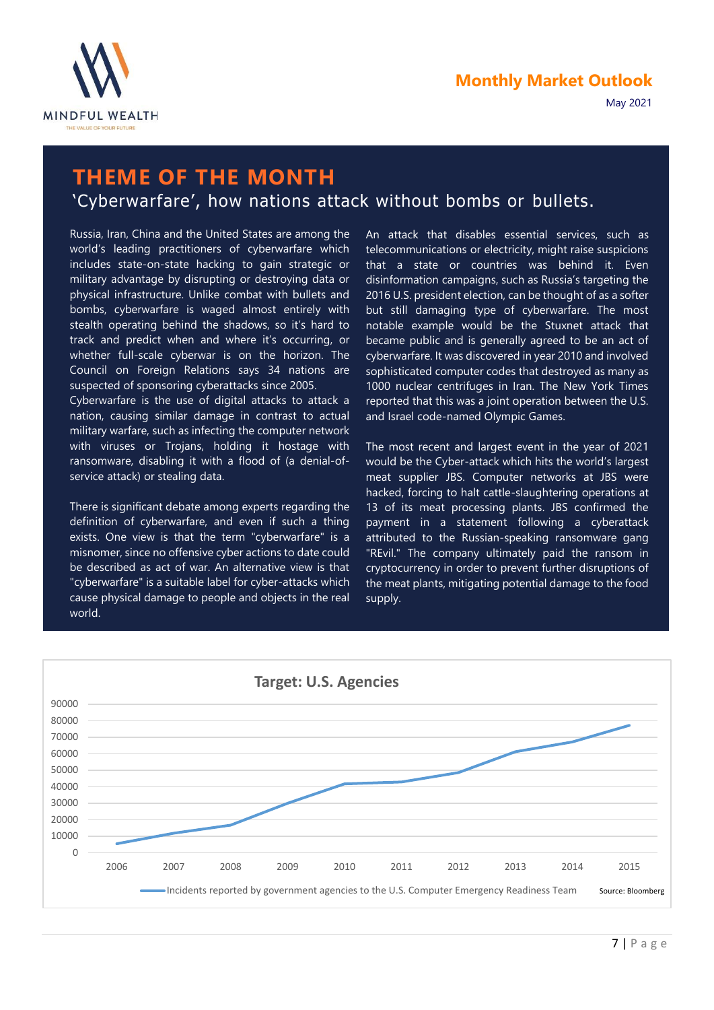

### **THEME OF THE MONTH** 'Cyberwarfare', how nations attack without bombs or bullets.

Russia, Iran, China and the United States are among the world's leading practitioners of cyberwarfare which includes state-on-state hacking to gain strategic or military advantage by disrupting or destroying data or physical infrastructure. Unlike combat with bullets and bombs, cyberwarfare is waged almost entirely with stealth operating behind the shadows, so it's hard to track and predict when and where it's occurring, or whether full-scale cyberwar is on the horizon. The Council on Foreign Relations says 34 nations are suspected of sponsoring cyberattacks since 2005.

Cyberwarfare is the use of digital attacks to attack a nation, causing similar damage in contrast to actual military warfare, such as infecting the computer network with viruses or Trojans, holding it hostage with ransomware, disabling it with a flood of (a denial-ofservice attack) or stealing data.

There is significant debate among experts regarding the definition of cyberwarfare, and even if such a thing exists. One view is that the term "cyberwarfare" is a misnomer, since no offensive cyber actions to date could be described as act of war. An alternative view is that "cyberwarfare" is a suitable label for cyber-attacks which cause physical damage to people and objects in the real world.

An attack that disables essential services, such as telecommunications or electricity, might raise suspicions that a state or countries was behind it. Even disinformation campaigns, such as Russia's targeting the 2016 U.S. president election, can be thought of as a softer but still damaging type of cyberwarfare. The most notable example would be the Stuxnet attack that became public and is generally agreed to be an act of cyberwarfare. It was discovered in year 2010 and involved sophisticated computer codes that destroyed as many as 1000 nuclear centrifuges in Iran. The New York Times reported that this was a joint operation between the U.S. and Israel code-named Olympic Games.

The most recent and largest event in the year of 2021 would be the Cyber-attack which hits the world's largest meat supplier JBS. Computer networks at JBS were hacked, forcing to halt cattle-slaughtering operations at 13 of its meat processing plants. JBS confirmed the payment in a statement following a cyberattack attributed to the Russian-speaking ransomware gang "REvil." The company ultimately paid the ransom in cryptocurrency in order to prevent further disruptions of the meat plants, mitigating potential damage to the food supply.

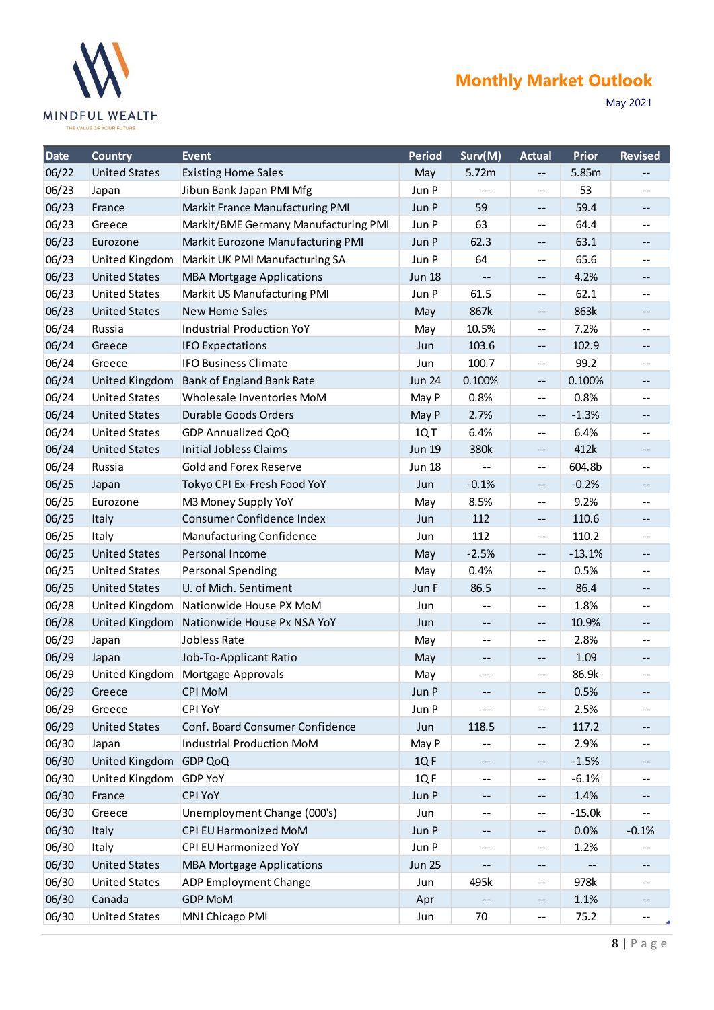

### **Monthly Market Outlook**

May 2021

| Date  | <b>Country</b>       | <b>Event</b>                         | <b>Period</b> | Surv(M)                                       | <b>Actual</b>            | Prior    | <b>Revised</b>                                |
|-------|----------------------|--------------------------------------|---------------|-----------------------------------------------|--------------------------|----------|-----------------------------------------------|
| 06/22 | <b>United States</b> | <b>Existing Home Sales</b>           | May           | 5.72m                                         | $-$                      | 5.85m    |                                               |
| 06/23 | Japan                | Jibun Bank Japan PMI Mfg             | Jun P         |                                               | $-$                      | 53       | $-$                                           |
| 06/23 | France               | Markit France Manufacturing PMI      | Jun P         | 59                                            | --                       | 59.4     | --                                            |
| 06/23 | Greece               | Markit/BME Germany Manufacturing PMI | Jun P         | 63                                            | $- -$                    | 64.4     | $-1$                                          |
| 06/23 | Eurozone             | Markit Eurozone Manufacturing PMI    | Jun P         | 62.3                                          | $\overline{\phantom{a}}$ | 63.1     | --                                            |
| 06/23 | United Kingdom       | Markit UK PMI Manufacturing SA       | Jun P         | 64                                            | $-$                      | 65.6     |                                               |
| 06/23 | <b>United States</b> | <b>MBA Mortgage Applications</b>     | <b>Jun 18</b> | $-\,-$                                        | $\overline{\phantom{m}}$ | 4.2%     | --                                            |
| 06/23 | <b>United States</b> | Markit US Manufacturing PMI          | Jun P         | 61.5                                          | $-$                      | 62.1     | $-$                                           |
| 06/23 | <b>United States</b> | <b>New Home Sales</b>                | May           | 867k                                          | $- -$                    | 863k     | --                                            |
| 06/24 | Russia               | <b>Industrial Production YoY</b>     | May           | 10.5%                                         | $- -$                    | 7.2%     | --                                            |
| 06/24 | Greece               | <b>IFO Expectations</b>              | Jun           | 103.6                                         | $-\, -$                  | 102.9    |                                               |
| 06/24 | Greece               | <b>IFO Business Climate</b>          | Jun           | 100.7                                         | $-$                      | 99.2     | --                                            |
| 06/24 | United Kingdom       | Bank of England Bank Rate            | <b>Jun 24</b> | 0.100%                                        | $\overline{\phantom{a}}$ | 0.100%   | --                                            |
| 06/24 | <b>United States</b> | Wholesale Inventories MoM            | May P         | 0.8%                                          | $- -$                    | 0.8%     | --                                            |
| 06/24 | <b>United States</b> | Durable Goods Orders                 | May P         | 2.7%                                          | $-\, -$                  | $-1.3%$  | $- -$                                         |
| 06/24 | <b>United States</b> | <b>GDP Annualized QoQ</b>            | 1QT           | 6.4%                                          | $-$                      | 6.4%     | --                                            |
| 06/24 | <b>United States</b> | <b>Initial Jobless Claims</b>        | <b>Jun 19</b> | 380k                                          | $-$                      | 412k     | --                                            |
| 06/24 | Russia               | <b>Gold and Forex Reserve</b>        | <b>Jun 18</b> |                                               | $\overline{\phantom{a}}$ | 604.8b   | --                                            |
| 06/25 | Japan                | Tokyo CPI Ex-Fresh Food YoY          | Jun           | $-0.1%$                                       | $\overline{\phantom{m}}$ | $-0.2%$  | --                                            |
| 06/25 | Eurozone             | M3 Money Supply YoY                  | May           | 8.5%                                          | --                       | 9.2%     | --                                            |
| 06/25 | Italy                | Consumer Confidence Index            | Jun           | 112                                           | $\overline{\phantom{a}}$ | 110.6    | --                                            |
| 06/25 | Italy                | Manufacturing Confidence             | Jun           | 112                                           | --                       | 110.2    | --                                            |
| 06/25 | <b>United States</b> | Personal Income                      | May           | $-2.5%$                                       | $-\,-$                   | $-13.1%$ | $\overline{\phantom{a}}$                      |
| 06/25 | <b>United States</b> | Personal Spending                    | May           | 0.4%                                          | $-\,-$                   | 0.5%     | --                                            |
| 06/25 | <b>United States</b> | U. of Mich. Sentiment                | Jun F         | 86.5                                          | $\overline{\phantom{m}}$ | 86.4     | --                                            |
| 06/28 | United Kingdom       | Nationwide House PX MoM              | Jun           | $- -$                                         | --                       | 1.8%     | --                                            |
| 06/28 | United Kingdom       | Nationwide House Px NSA YoY          | Jun           | $- \, -$                                      | $-\, -$                  | 10.9%    | --                                            |
| 06/29 | Japan                | Jobless Rate                         | May           | $-$                                           | $\overline{\phantom{a}}$ | 2.8%     | $\mathord{\hspace{1pt}\text{--}\hspace{1pt}}$ |
| 06/29 | Japan                | Job-To-Applicant Ratio               | May           | $- -$                                         | $-\, -$                  | 1.09     | --                                            |
| 06/29 | United Kingdom       | Mortgage Approvals                   | May           | $\overline{\phantom{m}}$ .                    | --                       | 86.9k    | $\mathord{\hspace{1pt}\text{--}\hspace{1pt}}$ |
| 06/29 | Greece               | <b>CPI MoM</b>                       | Jun P         | $- -$                                         | $- \, -$                 | 0.5%     |                                               |
| 06/29 | Greece               | CPI YoY                              | Jun P         |                                               | $\overline{\phantom{a}}$ | 2.5%     | --                                            |
| 06/29 | <b>United States</b> | Conf. Board Consumer Confidence      | Jun           | 118.5                                         | $-\, -$                  | 117.2    |                                               |
| 06/30 | Japan                | <b>Industrial Production MoM</b>     | May P         | $\mathord{\hspace{1pt}\text{--}\hspace{1pt}}$ | $-$                      | 2.9%     | --                                            |
| 06/30 | United Kingdom       | <b>GDP QoQ</b>                       | 1QF           | $-\,-$                                        | $\qquad \qquad -$        | $-1.5%$  | --                                            |
| 06/30 | United Kingdom       | <b>GDP YoY</b>                       | 1QF           | --                                            | --                       | $-6.1%$  | --                                            |
| 06/30 | France               | <b>CPI YoY</b>                       | Jun P         | $-\,-$                                        | $\overline{\phantom{m}}$ | 1.4%     |                                               |
| 06/30 | Greece               | Unemployment Change (000's)          | Jun           | $\overline{\phantom{m}}$ .                    | $-\,-$                   | $-15.0k$ | --                                            |
| 06/30 | Italy                | CPI EU Harmonized MoM                | Jun P         | $-\, -$                                       | $\overline{\phantom{m}}$ | 0.0%     | $-0.1%$                                       |
| 06/30 | Italy                | CPI EU Harmonized YoY                | Jun P         | $\mathord{\hspace{1pt}\text{--}\hspace{1pt}}$ | $-\,-$                   | 1.2%     |                                               |
| 06/30 | <b>United States</b> | <b>MBA Mortgage Applications</b>     | <b>Jun 25</b> | $\overline{\phantom{m}}$                      | --                       |          |                                               |
| 06/30 | <b>United States</b> | ADP Employment Change                | Jun           | 495k                                          | $- -$                    | 978k     | $- -$                                         |
| 06/30 | Canada               | <b>GDP MoM</b>                       | Apr           |                                               | --                       | 1.1%     |                                               |
| 06/30 | <b>United States</b> | MNI Chicago PMI                      | Jun           | 70                                            | --                       | 75.2     | --                                            |